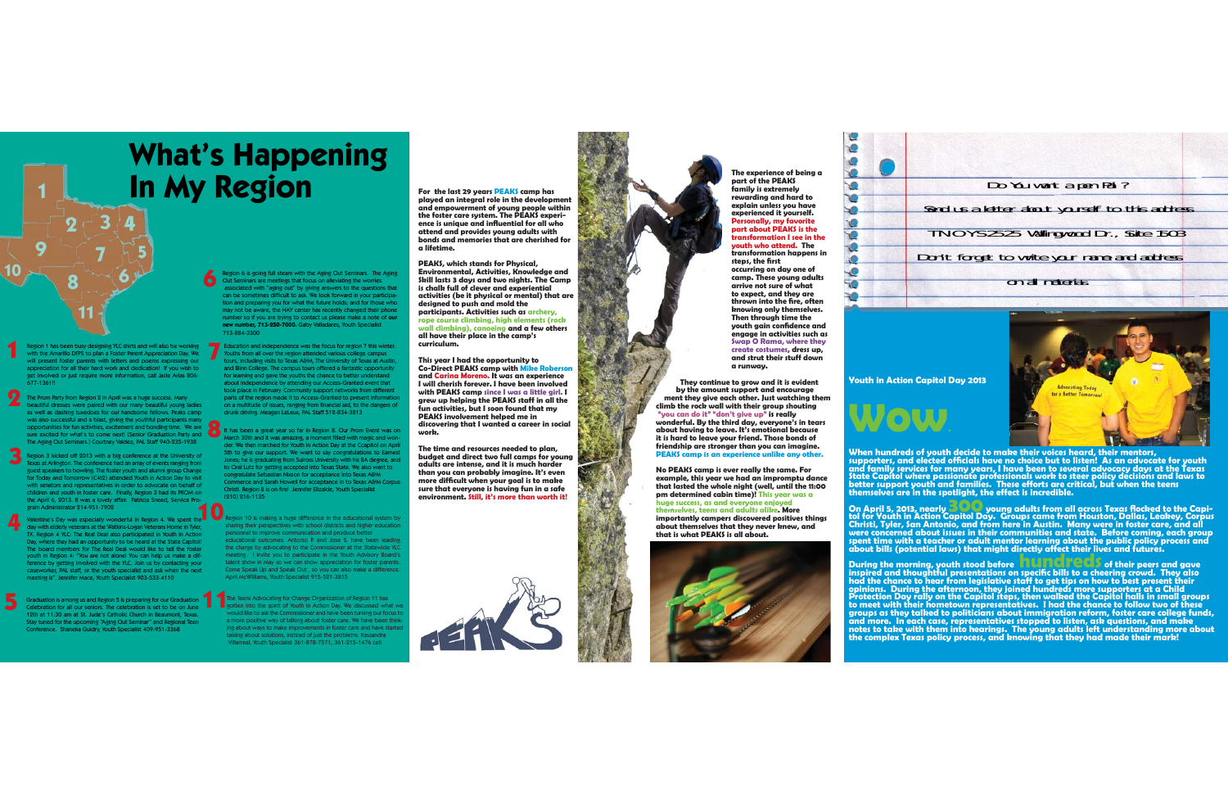**For the last 29 years PEAKS camp has played an integral role in the development and empowerment of young people within the foster care system. The PEAKS experience is unique and in fl uential for all who attend and provides young adults with bonds and memories that are cherished for a lifetime.**

**PEAKS, which stands for Physical, Environmental, Activities, Knowledge and Skill lasts 3 days and two nights. The Camp is chalk full of clever and experiential activities (be it physical or mental) that are designed to push and mold the participants. Activities such as archery, rope course climbing, high elements (rock wall climbing), canoeing and a few others all have their place in the camp's curriculum.** 

**This year I had the opportunity to Co-Direct PEAKS camp with Mike Roberson and Carina Moreno. It was an experience I will cherish forever. I have been involved with PEAKS camp since I was a little girl. I grew up helping the PEAKS staff in all the fun activities, but I soon found that my PEAKS involvement helped me in discovering that I wanted a career in social work.** 

**EXECUTE:** They continue to grow and it is evident **Example 1** by the amount support and encourage ment they give each other. Just watching them **climb the rock wall with their group shouting wall**"you can do it" "don't give up" is really **wonderful. By the third day, everyone's in tears t about having to leave. It's emotional because leait is hard to leave your friend. Those bonds of y friendship are stronger than you can imagine. stron PEAKS camp is an experience unlike any other.**

**The time and resources needed to plan, budget and direct two full camps for young adults are intense, and it is much harder than you can probably imagine. It's even**  more difficult when your goal is to make **sure that everyone is having fun in a safe environment. Still, it's more than worth it!**

 $\mathcal{R}$ 



**No PEAKS camp is ever really the same. For example, this year we had an impromptu dance year that lasted the whole night (well, until the 11:00 who pm determined cabin time)! This year was a huge success, as and everyone enjoyed an themselves, teens and adults alike. More aimportantly campers discovered positives things campe about themselves that they never knew, and tthat is what PEAKS is all about. PEAKS**



 $\sqrt{2}$  $\bullet$  $\bullet$  $\overline{\mathbf{C}}$  $\bullet$ 50 **TO**  $\sqrt{2}$ **Q**  $\bullet$ 

 $\bullet$ 70 30

The Teens Advocating for Change Organization of Region 11 has gotten into the spirit of Youth In Action Day. We discussed what we would like to ask the Commissioner and have been turning our focus to a more positive way of talking about foster care. We have been thinking about ways to make improvements in foster care and have star talking about solutions, instead of just the problems. Kassandra Villarreal, Youth Specialist 361-878-7571, 361-215-1476 cell

 $\epsilon$  agion 10 is making a huge difference in the educational system by sharing their perspectives with school districts and higher education personnel to improve communication and produce better educational outcomes. Antonio P. and Jose S. have been leading the charge by advocating to the Commissioner at the Statewide YLC meeting. I invite you to participate in the Youth Advisory Board's talent show in May so we can show appreciation for foster parents. Come Speak Up and Speak Out , so you can also make a difference. April McWilliams, Youth Specialist 915-521-3815

Region 1 has been busy designing YLC shirts and will also be working<br>with the Amarillo DFPS to plan a Foster Parent Appreciation Day. We with the Amarillo DFPS to plan a Foster Parent Appreciation Day. We will present foster parents with letters and poems expressing our appreciation for all their hard work and dedication! If you wish to appreciation for all their hard work and dedication! If you wish to get involved or just require more information, call Jade Arias 806- 677-1361!!

Region 6 is going full steam with the Aging Out Seminars. The Aging Out Seminars are meetings that focus on alleviating the worries ciated with "aging out" by giving answers to the questions that can be sometimes difficult to ask. We look forward in your participation and preparing you for what the future holds; and for those who may not be aware, the HAY center has recently changed their phone nber so if you are trying to contact us please make a note of **our new number, 713-250-7000.** Gaby Valladares, Youth Specialist 713-884-3300

Graduation is among us and Region 5 is preparing for our Graduation Celebration for all our seniors. The celebration is set to be on June 12th at 11:30 am at St. Jude's Catholic Church in Beaumont, Texas. Stay tuned for the upcoming "Aging Out Seminar" and Regional Teen Conference. Shaneka Guidry, Youth Specialist 409-951-3368

day with elderly veterans at the Watkins-Logan Veterans Home in Tyler,<br>TX. Region 4 YLC: The Real Deal also participated in Youth In Action<br>Day, where they had an opportunity to be heard at the State Capitol!<br>The board mem youth in Region 4: "You are not alone! You can help us make a difference by getting involved with the YLC. Join us by contacting your caseworker, PAL staff, or the youth specialist and ask when the next meeting is". Jennifer Mace, Youth Specialist 903-533-4110 **4**

The Prom Party from Region 2 in April was a huge success. Many beautiful dresses were paired with our many beautiful young ladies as well as dashing tuxedoes for our handsome fellows. Peaks camp was also successful and a blast, giving the youthful participants many opportunities for fun activities, excitement and bonding time. We are sure excited for what's to come next! (Senior Graduation Party and The Aging Out Seminars.) Courtney Valdez, PAL Staff 940-235-1938 **2**

Education and independence was the focus for region 7 this winter. Youths from all over the region attended various college campus tours, including visits to Texas A&M, The University of Texas at Austin, and Blinn College. The campus tours offered a fantastic opportunity for learning and gave the youths the chance to better understand about independence by attending our Access-Granted event that took place in February. Community support networks from different parts of the region made it to Access-Granted to present informati on a multitude of issues, ranging from financial aid, to the dangers of drunk driving. Meagan LeLeux, PAL Staff 512-834-3813

Region 3 kicked off 2013 with a big conference at the University of Texas at Arlington. The conference had an array of events ranging from guest speakers to bowling. The foster youth and alumni group Change for Today and Tomorrow (C4t2) attended Youth in Action Day to visit with senators and representatives in order to advocate on behalf of children and youth in foster care. Finally, Region 3 had its PROM on the April 6, 2013. It was a lovely affair. Patricia Sneed, Service Program Administrator 214-951-7902 gram Administrator 214-951-7902<br>Valentine's Day was especially wonderful in Region 4. We spent the **3**

It has been a great year so far in Region 8. Our Prom Event was on March 30th and it was amazing, a moment filled with magic and won-der. We then marched for Youth in Action Day at the Ccapitol on April 5th to give our support. We want to say congratulations to Earnest Jones; he is graduating from Sulross University with his BA degree, and to Oral Lutz for getting accepted into Texas State. We also want to congratulate Sebastian Nixson for acceptance into Texas A&M Commerce and Sarah Howell for acceptance in to Texas A&M Corpus Christi. Region 8 is on fire! Jennifer Elizalde, Youth Specialist (210) 216-1135

# **What's Happening In My Region**

**1**

10

**5**

**8**

**6**

**The experience of being a part of the PEAKS family is extremely rewarding and hard to explain unless you have experienced it yourself. Personally, my favorite part about PEAKS is the transformation I see in the youth who attend. The transformation happens in**  steps, the first **occurring on day one of camp. These young adults arrive not sure of what to expect, and they are**  thrown into the fire, often **knowing only themselves. Then through time the youth gain confidence and engage in activities such as Swap O Rama, where they create costumes, dress up, and strut their stuff down a runway.** 

**Youth in Action Capitol Day 2013**

When hundreds of youth decide to make their voices heard, their mentors,<br>supporters, and elected officials have no choice but to listen! As an advocate for youth<br>and family services for many years, I have been to several a

On April 5, 2013, nearly **BCOD** young adults from all across Texas flocked to the Capi-<br>tol for Youth in Action Capitol Day. Groups came from Houston, Dallas, Leakey, Corpus<br>Christi, Tyler, San Antonio, and from here in A spent time with a teacher or adult mentor learning about the public policy process and<br>about bills (potential laws) that might directly affect their lives and futures.

During the morning, youth stood before **in UMC reds o**f their peers and gave<br>inspired and thoughtful presentations on specific bills to a cheering crowd. They also inspired and thoughtful presentations on specific bills to a cheering crowd. They also<br>had the chance to hear from legislative staff to get tips on how to best present their<br>opinions. During the afternoon, they joined hund

**Wow.**

Do You want a pen Pal ? Send us a letter about yourself to this address T N O Y S 2525 Wallingwood Dr., Suite 1503 Don't forget to write your name and address on all materials.